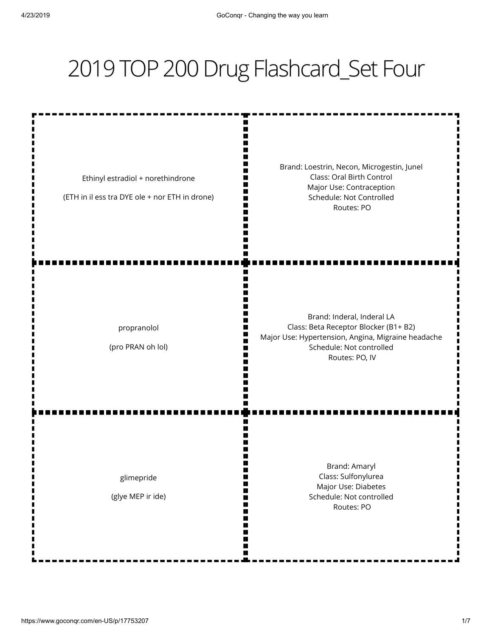## 2019 TOP 200 Drug Flashcard\_Set Four

П

Ethinyl estradiol + norethindrone

(ETH in il ess tra DYE ole + nor ETH in drone)

Brand: Loestrin, Necon, Microgestin, Junel Class: Oral Birth Control Major Use: Contraception Schedule: Not Controlled Routes: PO

propranolol

(pro PRAN oh lol)

Brand: Inderal, Inderal LA Class: Beta Receptor Blocker (B1+ B2) Major Use: Hypertension, Angina, Migraine headache Schedule: Not controlled Routes: PO, IV

glimepride

(glye MEP ir ide)

Brand: Amaryl Class: Sulfonylurea Major Use: Diabetes Schedule: Not controlled Routes: PO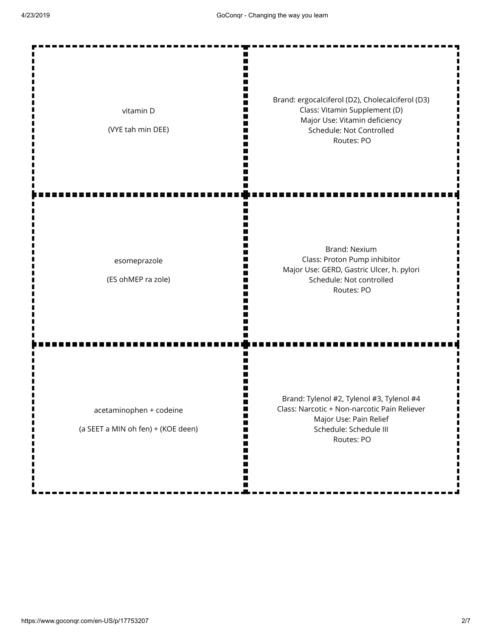| vitamin D<br>(VYE tah min DEE)                                | Brand: ergocalciferol (D2), Cholecalciferol (D3)<br>Class: Vitamin Supplement (D)<br>Major Use: Vitamin deficiency<br>Schedule: Not Controlled<br>Routes: PO |
|---------------------------------------------------------------|--------------------------------------------------------------------------------------------------------------------------------------------------------------|
| esomeprazole<br>(ES ohMEP ra zole)                            | <b>Brand: Nexium</b><br>Class: Proton Pump inhibitor<br>Major Use: GERD, Gastric Ulcer, h. pylori<br>Schedule: Not controlled<br>Routes: PO                  |
| acetaminophen + codeine<br>(a SEET a MIN oh fen) + (KOE deen) | Brand: Tylenol #2, Tylenol #3, Tylenol #4<br>Class: Narcotic + Non-narcotic Pain Reliever<br>Major Use: Pain Relief<br>Schedule: Schedule III<br>Routes: PO  |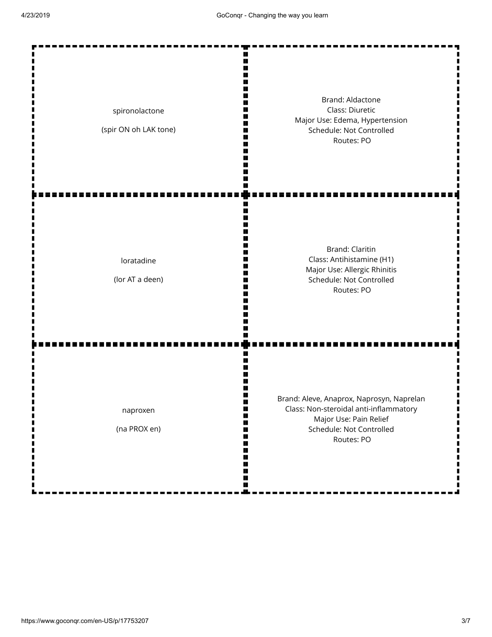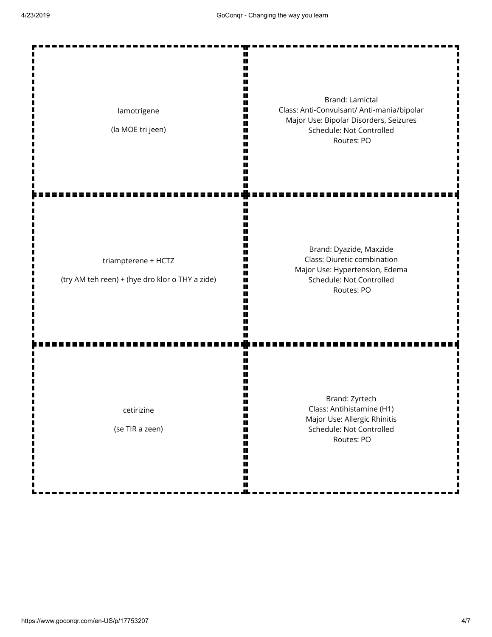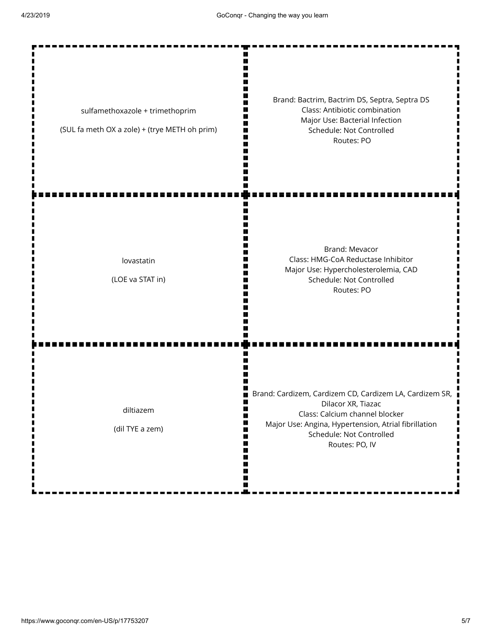Brand: Bactrim, Bactrim DS, Septra, Septra DS П Class: Antibiotic combination sulfamethoxazole + trimethoprim Major Use: Bacterial Infection П (SUL fa meth OX a zole) + (trye METH oh prim) Schedule: Not Controlled г Routes: PO Brand: Mevacor Class: HMG-CoA Reductase Inhibitor lovastatin Major Use: Hypercholesterolemia, CAD (LOE va STAT in) Schedule: Not Controlled Routes: PO Brand: Cardizem, Cardizem CD, Cardizem LA, Cardizem SR, Dilacor XR, Tiazac diltiazem Class: Calcium channel blocker Major Use: Angina, Hypertension, Atrial fibrillation (dil TYE a zem) Schedule: Not Controlled Routes: PO, IV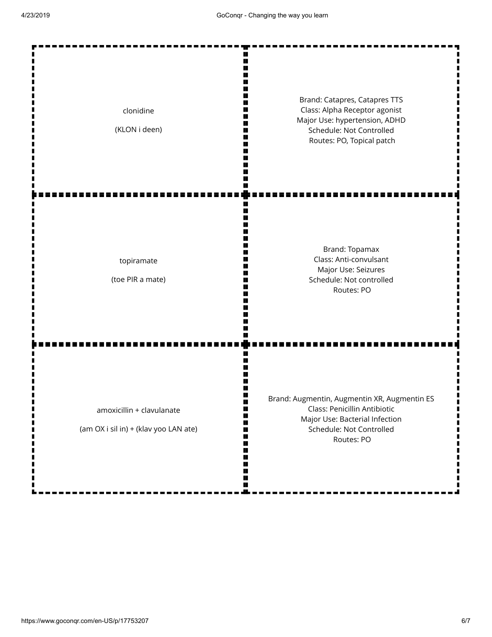